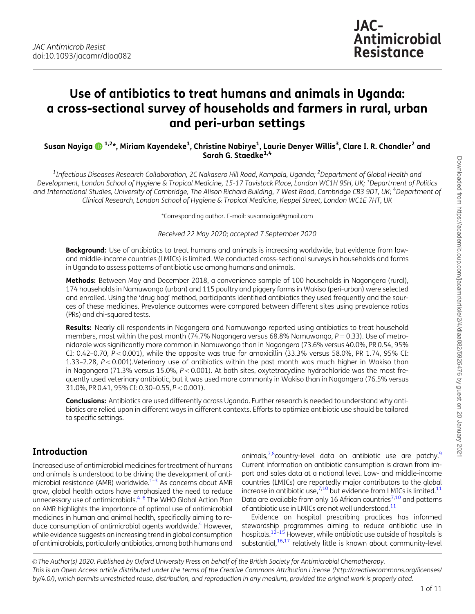# <span id="page-0-0"></span>Use of antibiotics to treat humans and animals in Uganda: a cross-sectional survey of households and farmers in rural, urban and peri-urban settings

### Susan Nayiga ���� 1,2\*, Miriam Kayendeke<sup>1</sup>, Christine Nabirye<sup>1</sup>, Laurie Denyer Willis<sup>3</sup>, Clare I. R. Chandler<sup>2</sup> and Sarah G. Staedke $^{1,4}$

 $^{\rm 1}$ Infectious Diseases Research Collaboration, 2C Nakasero Hill Road, Kampala, Uganda;  $^{\rm 2}$ Department of Global Health and Development, London School of Hygiene & Tropical Medicine, 15-17 Tavistock Place, London WC1H 9SH, UK; <sup>3</sup>Department of Politics and International Studies, University of Cambridge, The Alison Richard Building, 7 West Road, Cambridge CB3 9DT, UK; <sup>4</sup>Department of Clinical Research, London School of Hygiene & Tropical Medicine, Keppel Street, London WC1E 7HT, UK

\*Corresponding author. E-mail: susannaiga@gmail.com

Received 22 May 2020; accepted 7 September 2020

Background: Use of antibiotics to treat humans and animals is increasing worldwide, but evidence from lowand middle-income countries (LMICs) is limited. We conducted cross-sectional surveys in households and farms in Uganda to assess patterns of antibiotic use among humans and animals.

Methods: Between May and December 2018, a convenience sample of 100 households in Nagongera (rural), 174 households in Namuwongo (urban) and 115 poultry and piggery farms in Wakiso (peri-urban) were selected and enrolled. Using the 'drug bag' method, participants identified antibiotics they used frequently and the sources of these medicines. Prevalence outcomes were compared between different sites using prevalence ratios (PRs) and chi-squared tests.

Results: Nearly all respondents in Nagongera and Namuwongo reported using antibiotics to treat household members, most within the past month (74.7% Nagongera versus 68.8% Namuwongo,  $P = 0.33$ ). Use of metronidazole was significantly more common in Namuwongo than in Nagongera (73.6% versus 40.0%, PR 0.54, 95% CI: 0.42–0.70,  $P < 0.001$ ), while the opposite was true for amoxicillin (33.3% versus 58.0%, PR 1.74, 95% CI: 1.33–2.28,  $P < 0.001$ ).Veterinary use of antibiotics within the past month was much higher in Wakiso than in Nagongera (71.3% versus 15.0%,  $P < 0.001$ ). At both sites, oxytetracycline hydrochloride was the most frequently used veterinary antibiotic, but it was used more commonly in Wakiso than in Nagongera (76.5% versus 31.0%, PR 0.41, 95% CI: 0.30-0.55,  $P < 0.001$ ).

Conclusions: Antibiotics are used differently across Uganda. Further research is needed to understand why antibiotics are relied upon in different ways in different contexts. Efforts to optimize antibiotic use should be tailored to specific settings.

## Introduction

Increased use of antimicrobial medicines for treatment of humans and animals is understood to be driving the development of anti-microbial resistance (AMR) worldwide.<sup>[1](#page-8-0)-[3](#page-8-0)</sup> As concerns about AMR grow, global health actors have emphasized the need to reduce unnecessary use of antimicrobials.<sup>4-6</sup> The WHO Global Action Plan on AMR highlights the importance of optimal use of antimicrobial medicines in human and animal health, specifically aiming to re-duce consumption of antimicrobial agents worldwide.<sup>[4](#page-8-0)</sup> However, while evidence suggests an increasing trend in global consumption of antimicrobials, particularly antibiotics, among both humans and

animals,<sup>7,[8](#page-8-0)</sup>country-level data on antibiotic use are patchy.<sup>9</sup> Current information on antibiotic consumption is drawn from import and sales data at a national level. Low- and middle-income countries (LMICs) are reportedly major contributors to the global increase in antibiotic use,  $7,10$  $7,10$  but evidence from LMICs is limited.<sup>11</sup> Data are available from only 16 African countries<sup>7,10</sup> and patterns of antibiotic use in LMICs are not well understood.<sup>11</sup>

Evidence on hospital prescribing practices has informed stewardship programmes aiming to reduce antibiotic use in hospitals.<sup>12-15</sup> However, while antibiotic use outside of hospitals is substantial,<sup>16,17</sup> relatively little is known about community-level

© The Author(s) 2020. Published by Oxford University Press on behalf of the British Society for Antimicrobial Chemotherapy. This is an Open Access article distributed under the terms of the Creative Commons Attribution License (http://creativecommons.org/licenses/ by/4.0/), which permits unrestricted reuse, distribution, and reproduction in any medium, provided the original work is properly cited.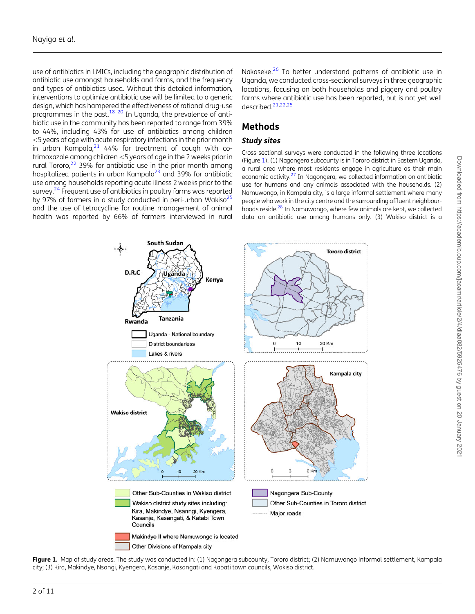<span id="page-1-0"></span>use of antibiotics in LMICs, including the geographic distribution of antibiotic use amongst households and farms, and the frequency and types of antibiotics used. Without this detailed information, interventions to optimize antibiotic use will be limited to a generic design, which has hampered the effectiveness of rational drug-use programmes in the past.<sup>[18–20](#page-8-0)</sup> In Uganda, the prevalence of antibiotic use in the community has been reported to range from 39% to 44%, including 43% for use of antibiotics among children ,5 years of age with acute respiratory infections in the prior month in urban Kampala, $21\,44\%$  $21\,44\%$  for treatment of cough with cotrimoxazole among children  $<$  5 years of age in the 2 weeks prior in rural Tororo, $22$  39% for antibiotic use in the prior month among hospitalized patients in urban Kampala<sup>23</sup> and 39% for antibiotic use among households reporting acute illness 2 weeks prior to the survey.<sup>[24](#page-9-0)</sup> Frequent use of antibiotics in poultry farms was reported by 97% of farmers in a study conducted in peri-urban Wakiso $25$ and the use of tetracycline for routine management of animal health was reported by 66% of farmers interviewed in rural

Nakaseke[.26](#page-9-0) To better understand patterns of antibiotic use in Uganda, we conducted cross-sectional surveys in three geographic locations, focusing on both households and piggery and poultry farms where antibiotic use has been reported, but is not yet well described.[21](#page-8-0),[22,25](#page-9-0)

## Methods

## Study sites

Cross-sectional surveys were conducted in the following three locations (Figure 1). (1) Nagongera subcounty is in Tororo district in Eastern Uganda, a rural area where most residents engage in agriculture as their main economic activity. $27$  In Nagongera, we collected information on antibiotic use for humans and any animals associated with the households. (2) Namuwongo, in Kampala city, is a large informal settlement where many people who work in the city centre and the surrounding affluent neighbourhoods reside.<sup>28</sup> In Namuwongo, where few animals are kept, we collected data on antibiotic use among humans only. (3) Wakiso district is a



Figure 1. Map of study areas. The study was conducted in: (1) Nagongera subcounty, Tororo district; (2) Namuwongo informal settlement, Kampala city; (3) Kira, Makindye, Nsangi, Kyengera, Kasanje, Kasangati and Kabati town councils, Wakiso district.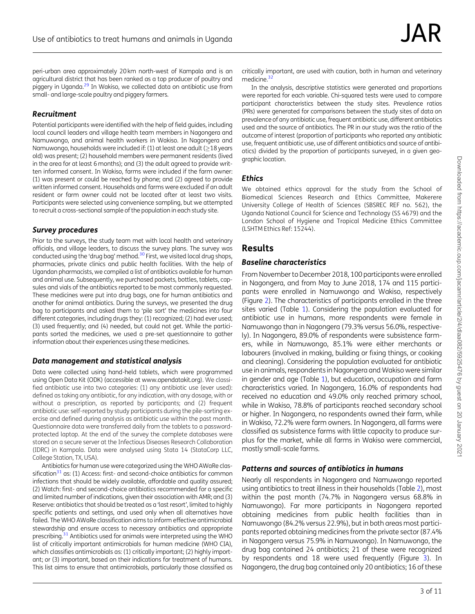<span id="page-2-0"></span>peri-urban area approximately 20 km north-west of Kampala and is an agricultural district that has been ranked as a top producer of poultry and piggery in Uganda[.29](#page-9-0) In Wakiso, we collected data on antibiotic use from small- and large-scale poultry and piggery farmers.

## Recruitment

Potential participants were identified with the help of field guides, including local council leaders and village health team members in Nagongera and Namuwongo, and animal health workers in Wakiso. In Nagongera and Namuwongo, households were included if: (1) at least one adult ( $\geq$ 18 years old) was present; (2) household members were permanent residents (lived in the area for at least 6 months); and (3) the adult agreed to provide written informed consent. In Wakiso, farms were included if the farm owner: (1) was present or could be reached by phone; and (2) agreed to provide written informed consent. Households and farms were excluded if an adult resident or farm owner could not be located after at least two visits. Participants were selected using convenience sampling, but we attempted to recruit a cross-sectional sample of the population in each study site.

#### Survey procedures

Prior to the surveys, the study team met with local health and veterinary officials, and village leaders, to discuss the survey plans. The survey was conducted using the 'drug bag' method. $30$  First, we visited local drug shops, pharmacies, private clinics and public health facilities. With the help of Ugandan pharmacists, we compiled a list of antibiotics available for human and animal use. Subsequently, we purchased packets, bottles, tablets, capsules and vials of the antibiotics reported to be most commonly requested. These medicines were put into drug bags, one for human antibiotics and another for animal antibiotics. During the surveys, we presented the drug bag to participants and asked them to 'pile sort' the medicines into four different categories, including drugs they: (1) recognized; (2) had ever used; (3) used frequently; and (4) needed, but could not get. While the participants sorted the medicines, we used a pre-set questionnaire to gather information about their experiences using these medicines.

## Data management and statistical analysis

Data were collected using hand-held tablets, which were programmed using Open Data Kit (ODK) (accessible at [www.opendatakit.org](http://www.opendatakit.org)). We classified antibiotic use into two categories: (1) any antibiotic use (ever used): defined as taking any antibiotic, for any indication, with any dosage, with or without a prescription, as reported by participants; and (2) frequent antibiotic use: self-reported by study participants during the pile-sorting exercise and defined during analysis as antibiotic use within the past month. Questionnaire data were transferred daily from the tablets to a passwordprotected laptop. At the end of the survey the complete databases were stored on a secure server at the Infectious Diseases Research Collaboration (IDRC) in Kampala. Data were analysed using Stata 14 (StataCorp LLC, College Station, TX, USA).

Antibiotics for human use were categorized using the WHO AWaRe clas $sification<sup>31</sup>$  as: (1) Access: first- and second-choice antibiotics for common infections that should be widely available, affordable and quality assured; (2) Watch: first- and second-choice antibiotics recommended for a specific and limited number of indications, given their association with AMR; and (3) Reserve: antibiotics that should be treated as a 'last resort', limited to highly specific patients and settings, and used only when all alternatives have failed. The WHO AWaRe classification aims to inform effective antimicrobial stewardship and ensure access to necessary antibiotics and appropriate prescribing.<sup>31</sup> Antibiotics used for animals were interpreted using the WHO list of critically important antimicrobials for human medicine (WHO CIA), which classifies antimicrobials as: (1) critically important; (2) highly important; or (3) important, based on their indications for treatment of humans. This list aims to ensure that antimicrobials, particularly those classified as

critically important, are used with caution, both in human and veterinary medicine $3$ 

In the analysis, descriptive statistics were generated and proportions were reported for each variable. Chi-squared tests were used to compare participant characteristics between the study sites. Prevalence ratios (PRs) were generated for comparisons between the study sites of data on prevalence of any antibiotic use, frequent antibiotic use, different antibiotics used and the source of antibiotics. The PR in our study was the ratio of the outcome of interest (proportion of participants who reported any antibiotic use, frequent antibiotic use, use of different antibiotics and source of antibiotics) divided by the proportion of participants surveyed, in a given geographic location.

## **Ethics**

We obtained ethics approval for the study from the School of Biomedical Sciences Research and Ethics Committee, Makerere University College of Health of Sciences (SBSREC REF no. 562), the Uganda National Council for Science and Technology (SS 4679) and the London School of Hygiene and Tropical Medicine Ethics Committee (LSHTM Ethics Ref: 15244).

## Results

### Baseline characteristics

From November to December 2018, 100 participants were enrolled in Nagongera, and from May to June 2018, 174 and 115 participants were enrolled in Namuwongo and Wakiso, respectively (Figure [2](#page-3-0)). The characteristics of participants enrolled in the three sites varied (Table [1\)](#page-4-0). Considering the population evaluated for antibiotic use in humans, more respondents were female in Namuwongo than in Nagongera (79.3% versus 56.0%, respectively). In Nagongera, 89.0% of respondents were subsistence farmers, while in Namuwongo, 85.1% were either merchants or labourers (involved in making, building or fixing things, or cooking and cleaning). Considering the population evaluated for antibiotic use in animals, respondents in Nagongera and Wakiso were similar in gender and age (Table [1](#page-4-0)), but education, occupation and farm characteristics varied. In Nagongera, 16.0% of respondents had received no education and 49.0% only reached primary school, while in Wakiso, 78.8% of participants reached secondary school or higher. In Nagongera, no respondents owned their farm, while in Wakiso, 72.2% were farm owners. In Nagongera, all farms were classified as subsistence farms with little capacity to produce surplus for the market, while all farms in Wakiso were commercial, mostly small-scale farms.

## Patterns and sources of antibiotics in humans

Nearly all respondents in Nagongera and Namuwongo reported using antibiotics to treat illness in their households (Table [2\)](#page-5-0), most within the past month (74.7% in Nagongera versus 68.8% in Namuwongo). Far more participants in Nagongera reported obtaining medicines from public health facilities than in Namuwongo (84.2% versus 22.9%), but in both areas most participants reported obtaining medicines from the private sector (87.4% in Nagongera versus 75.9% in Namuwongo). In Namuwongo, the drug bag contained 24 antibiotics; 21 of these were recognized by respondents and 18 were used frequently (Figure [3\)](#page-5-0). In Nagongera, the drug bag contained only 20 antibiotics; 16 of these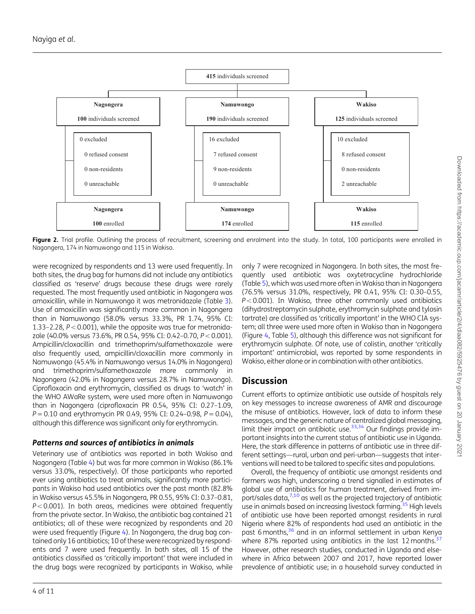<span id="page-3-0"></span>

Figure 2. Trial profile. Outlining the process of recruitment, screening and enrolment into the study. In total, 100 participants were enrolled in Nagongera, 174 in Namuwongo and 115 in Wakiso.

were recognized by respondents and 13 were used frequently. In both sites, the drug bag for humans did not include any antibiotics classified as 'reserve' drugs because these drugs were rarely requested. The most frequently used antibiotic in Nagongera was amoxicillin, while in Namuwongo it was metronidazole (Table [3\)](#page-6-0). Use of amoxicillin was significantly more common in Nagongera than in Namuwongo (58.0% versus 33.3%, PR 1.74, 95% CI: 1.33–2.28,  $P < 0.001$ ), while the opposite was true for metronidazole (40.0% versus 73.6%, PR 0.54, 95% CI: 0.42-0.70, P < 0.001). Ampicillin/cloxacillin and trimethoprim/sulfamethoxazole were also frequently used, ampicillin/cloxacillin more commonly in Namuwongo (45.4% in Namuwongo versus 14.0% in Nagongera) and trimethoprim/sulfamethoxazole more commonly in Nagongera (42.0% in Nagongera versus 28.7% in Namuwongo). Ciprofloxacin and erythromycin, classified as drugs to 'watch' in the WHO AWaRe system, were used more often in Namuwongo than in Nagongera (ciprofloxacin PR 0.54, 95% CI: 0.27–1.09,  $P = 0.10$  and erythromycin PR 0.49, 95% CI: 0.24-0.98,  $P = 0.04$ ), although this difference was significant only for erythromycin.

#### Patterns and sources of antibiotics in animals

Veterinary use of antibiotics was reported in both Wakiso and Nagongera (Table [4](#page-6-0)) but was far more common in Wakiso (86.1% versus 33.0%, respectively). Of those participants who reported ever using antibiotics to treat animals, significantly more participants in Wakiso had used antibiotics over the past month (82.8% in Wakiso versus 45.5% in Nagongera, PR 0.55, 95% CI: 0.37–0.81,  $P < 0.001$ ). In both areas, medicines were obtained frequently from the private sector. In Wakiso, the antibiotic bag contained 21 antibiotics; all of these were recognized by respondents and 20 were used frequently (Figure [4](#page-7-0)). In Nagongera, the drug bag contained only 16 antibiotics; 10 of these were recognized by respondents and 7 were used frequently. In both sites, all 15 of the antibiotics classified as 'critically important' that were included in the drug bags were recognized by participants in Wakiso, while

4 of 11

only 7 were recognized in Nagongera. In both sites, the most frequently used antibiotic was oxytetracycline hydrochloride (Table [5\)](#page-7-0), which was used more often in Wakiso than in Nagongera (76.5% versus 31.0%, respectively, PR 0.41, 95% CI: 0.30–0.55,  $P < 0.001$ ). In Wakiso, three other commonly used antibiotics (dihydrostreptomycin sulphate, erythromycin sulphate and tylosin tartrate) are classified as 'critically important' in the WHO CIA system; all three were used more often in Wakiso than in Nagongera (Figure [4](#page-7-0), Table [5](#page-7-0)), although this difference was not significant for erythromycin sulphate. Of note, use of colistin, another 'critically important' antimicrobial, was reported by some respondents in Wakiso, either alone or in combination with other antibiotics.

## **Discussion**

Current efforts to optimize antibiotic use outside of hospitals rely on key messages to increase awareness of AMR and discourage the misuse of antibiotics. However, lack of data to inform these messages, and the generic nature of centralized global messaging, limit their impact on antibiotic use. $33,34$  $33,34$  $33,34$  Our findings provide important insights into the current status of antibiotic use in Uganda. Here, the stark difference in patterns of antibiotic use in three different settings—rural, urban and peri-urban—suggests that interventions will need to be tailored to specific sites and populations.

Overall, the frequency of antibiotic use amongst residents and farmers was high, underscoring a trend signalled in estimates of global use of antibiotics for human treatment, derived from import/sales data, $7,10$  $7,10$  as well as the projected trajectory of antibiotic use in animals based on increasing livestock farming.<sup>35</sup> High levels of antibiotic use have been reported amongst residents in rural Nigeria where 82% of respondents had used an antibiotic in the past 6 months,<sup>[36](#page-9-0)</sup> and in an informal settlement in urban Kenya where 87% reported using antibiotics in the last 12 months.<sup>37</sup> However, other research studies, conducted in Uganda and elsewhere in Africa between 2007 and 2017, have reported lower prevalence of antibiotic use; in a household survey conducted in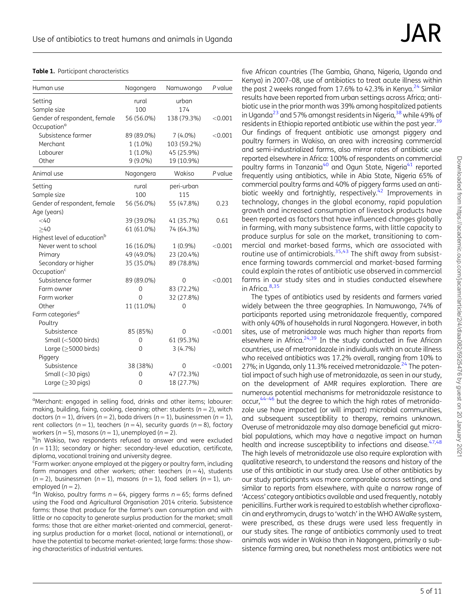#### <span id="page-4-0"></span>Table 1. Participant characteristics

| Human use                               | Nagongera  | Namuwongo   | P value |
|-----------------------------------------|------------|-------------|---------|
| Setting                                 | rural      | urban       |         |
| Sample size                             | 100        | 174         |         |
| Gender of respondent, female            | 56 (56.0%) | 138 (79.3%) | < 0.001 |
| Occupation <sup>a</sup>                 |            |             |         |
| Subsistence farmer                      | 89 (89.0%) | $7(4.0\%)$  | < 0.001 |
| Merchant                                | $1(1.0\%)$ | 103 (59.2%) |         |
| Labourer                                | $1(1.0\%)$ | 45 (25.9%)  |         |
| Other                                   | $9(9.0\%)$ | 19 (10.9%)  |         |
| Animal use                              | Nagongera  | Wakiso      | P value |
| Setting                                 | rural      | peri-urban  |         |
| Sample size                             | 100        | 115         |         |
| Gender of respondent, female            | 56 (56.0%) | 55 (47.8%)  | 0.23    |
| Age (years)                             |            |             |         |
| < 40                                    | 39 (39.0%) | 41 (35.7%)  | 0.61    |
| >40                                     | 61 (61.0%) | 74 (64.3%)  |         |
| Highest level of education <sup>b</sup> |            |             |         |
| Never went to school                    | 16 (16.0%) | $1(0.9\%)$  | < 0.001 |
| Primary                                 | 49 (49.0%) | 23 (20.4%)  |         |
| Secondary or higher                     | 35 (35.0%) | 89 (78.8%)  |         |
| Occupation <sup>c</sup>                 |            |             |         |
| Subsistence farmer                      | 89 (89.0%) | 0           | < 0.001 |
| Farm owner                              | 0          | 83 (72.2%)  |         |
| Farm worker                             | 0          | 32 (27.8%)  |         |
| Other                                   | 11 (11.0%) | $\Omega$    |         |
| Farm categories <sup>d</sup>            |            |             |         |
| Poultry                                 |            |             |         |
| Subsistence                             | 85 (85%)   | 0           | < 0.001 |
| Small (<5000 birds)                     | 0          | 61 (95.3%)  |         |
| Large ( $\geq$ 5000 birds)              | 0          | 3(4.7%)     |         |
| Piggery                                 |            |             |         |
| Subsistence                             | 38 (38%)   | 0           | < 0.001 |
| Small (<30 pigs)                        | 0          | 47 (72.3%)  |         |
| Large ( $\geq$ 30 pigs)                 | 0          | 18 (27.7%)  |         |

<sup>a</sup>Merchant: engaged in selling food, drinks and other items; labourer: making, building, fixing, cooking, cleaning; other: students ( $n = 2$ ), witch doctors ( $n = 1$ ), drivers ( $n = 2$ ), boda drivers ( $n = 1$ ), businessmen ( $n = 1$ ), rent collectors ( $n = 1$ ), teachers ( $n = 4$ ), security guards ( $n = 8$ ), factory workers ( $n = 5$ ), masons ( $n = 1$ ), unemployed ( $n = 2$ ).

<sup>b</sup>In Wakiso, two respondents refused to answer and were excluded  $(n = 113)$ ; secondary or higher: secondary-level education, certificate, diploma, vocational training and university degree.

c Farm worker: anyone employed at the piggery or poultry farm, including farm managers and other workers; other: teachers ( $n = 4$ ), students  $(n = 2)$ , businessmen  $(n = 1)$ , masons  $(n = 1)$ , food sellers  $(n = 1)$ , unemployed  $(n = 2)$ .

<sup>d</sup>In Wakiso, poultry farms  $n = 64$ , piggery farms  $n = 65$ ; farms defined using the Food and Agricultural Organisation 2014 criteria. Subsistence farms: those that produce for the farmer's own consumption and with little or no capacity to generate surplus production for the market; small farms: those that are either market-oriented and commercial, generating surplus production for a market (local, national or international), or have the potential to become market-oriented; large farms: those showing characteristics of industrial ventures.

five African countries (The Gambia, Ghana, Nigeria, Uganda and Kenya) in 2007–08, use of antibiotics to treat acute illness within the past 2 weeks ranged from 17.6% to 42.3% in Kenya.<sup>24</sup> Similar results have been reported from urban settings across Africa; antibiotic use in the prior month was 39% among hospitalized patients in Uganda<sup>[23](#page-9-0)</sup> and 57% amongst residents in Nigeria,  $38$  while 49% of residents in Ethiopia reported antibiotic use within the past year.<sup>39</sup> Our findings of frequent antibiotic use amongst piggery and poultry farmers in Wakiso, an area with increasing commercial and semi-industrialized farms, also mirror rates of antibiotic use reported elsewhere in Africa: 100% of respondents on commercial poultry farms in Tanzania<sup>40</sup> and Ogun State, Nigeria<sup>41</sup> reported frequently using antibiotics, while in Abia State, Nigeria 65% of commercial poultry farms and 40% of piggery farms used an anti-

biotic weekly and fortnightly, respectively.<sup>[42](#page-9-0)</sup> Improvements in technology, changes in the global economy, rapid population growth and increased consumption of livestock products have been reported as factors that have influenced changes globally in farming, with many subsistence farms, with little capacity to produce surplus for sale on the market, transitioning to commercial and market-based farms, which are associated with routine use of antimicrobials.<sup>[35](#page-9-0),[43](#page-9-0)</sup> The shift away from subsistence farming towards commercial and market-based farming could explain the rates of antibiotic use observed in commercial farms in our study sites and in studies conducted elsewhere in Africa. $8,35$  $8,35$  $8,35$ 

The types of antibiotics used by residents and farmers varied widely between the three geographies. In Namuwongo, 74% of participants reported using metronidazole frequently, compared with only 40% of households in rural Nagongera. However, in both sites, use of metronidazole was much higher than reports from elsewhere in Africa. $24,39$  $24,39$  $24,39$  In the study conducted in five African countries, use of metronidazole in individuals with an acute illness who received antibiotics was 17.2% overall, ranging from 10% to 27%; in Uganda, only 11.3% received metronidazole.<sup>[24](#page-9-0)</sup> The potential impact of such high use of metronidazole, as seen in our study, on the development of AMR requires exploration. There are numerous potential mechanisms for metronidazole resistance to occur,  $44-46$  but the degree to which the high rates of metronidazole use have impacted (or will impact) microbial communities, and subsequent susceptibility to therapy, remains unknown. Overuse of metronidazole may also damage beneficial gut microbial populations, which may have a negative impact on human health and increase susceptibility to infections and disease.<sup>47,48</sup> The high levels of metronidazole use also require exploration with qualitative research, to understand the reasons and history of the use of this antibiotic in our study area. Use of other antibiotics by our study participants was more comparable across settings, and similar to reports from elsewhere, with quite a narrow range of 'Access' category antibiotics available and used frequently, notably penicillins. Further work is required to establish whether ciprofloxacin and erythromycin, drugs to 'watch' in the WHO AWaRe system, were prescribed, as these drugs were used less frequently in our study sites. The range of antibiotics commonly used to treat animals was wider in Wakiso than in Nagongera, primarily a subsistence farming area, but nonetheless most antibiotics were not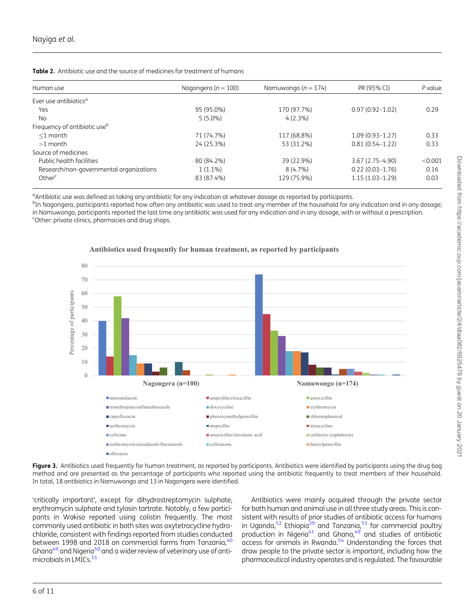| Nagongera ( $n = 100$ ) | Namuwongo ( $n = 174$ ) | PR (95% CI)         | P value |
|-------------------------|-------------------------|---------------------|---------|
|                         |                         |                     |         |
| 95 (95.0%)              | 170 (97.7%)             | $0.97(0.92 - 1.02)$ | 0.29    |
| $5(5.0\%)$              | $4(2.3\%)$              |                     |         |
|                         |                         |                     |         |
| 71 (74.7%)              | 117 (68.8%)             | $1.09(0.93 - 1.27)$ | 0.33    |
| 24 (25.3%)              | 53 (31.2%)              | $0.81(0.54 - 1.22)$ | 0.33    |
|                         |                         |                     |         |
| 80 (84.2%)              | 39 (22.9%)              | $3.67(2.75 - 4.90)$ | < 0.001 |
| $1(1.1\%)$              | 8 (4.7%)                | $0.22(0.03 - 1.76)$ | 0.16    |
| 83 (87.4%)              | 129 (75.9%)             | $1.15(1.03 - 1.29)$ | 0.03    |
|                         |                         |                     |         |

<span id="page-5-0"></span>Table 2. Antibiotic use and the source of medicines for treatment of humans

<sup>a</sup>Antibiotic use was defined as taking any antibiotic for any indication at whatever dosage as reported by participants.

<sup>b</sup>In Nagongera, participants reported how often any antibiotic was used to treat any member of the household for any indication and in any dosage; in Namuwongo, participants reported the last time any antibiotic was used for any indication and in any dosage, with or without a prescription. c Other: private clinics, pharmacies and drug shops.



#### **Antibiotics used frequently for human treatment, as reported by participants**

Figure 3. Antibiotics used frequently for human treatment, as reported by participants. Antibiotics were identified by participants using the drug bag method and are presented as the percentage of participants who reported using the antibiotic frequently to treat members of their household. In total, 18 antibiotics in Namuwongo and 13 in Nagongera were identified.

'critically important', except for dihydrostreptomycin sulphate, erythromycin sulphate and tylosin tartrate. Notably, a few participants in Wakiso reported using colistin frequently. The most commonly used antibiotic in both sites was oxytetracycline hydrochloride, consistent with findings reported from studies conducted between 1998 and 2018 on commercial farms from Tanzania, 40 Ghana<sup>49</sup> and Nigeria<sup>50</sup> and a wider review of veterinary use of antimicrobials in LMICs. $51$ 

Antibiotics were mainly acquired through the private sector for both human and animal use in all three study areas. This is consistent with results of prior studies of antibiotic access for humans in Uganda, $52$  Ethiopia<sup>[39](#page-9-0)</sup> and Tanzania, $53$  for commercial poultry production in Nigeria<sup>[41](#page-9-0)</sup> and Ghana,  $49$  and studies of antibiotic access for animals in Rwanda. $54$  Understanding the forces that draw people to the private sector is important, including how the pharmaceutical industry operates and is regulated. The favourable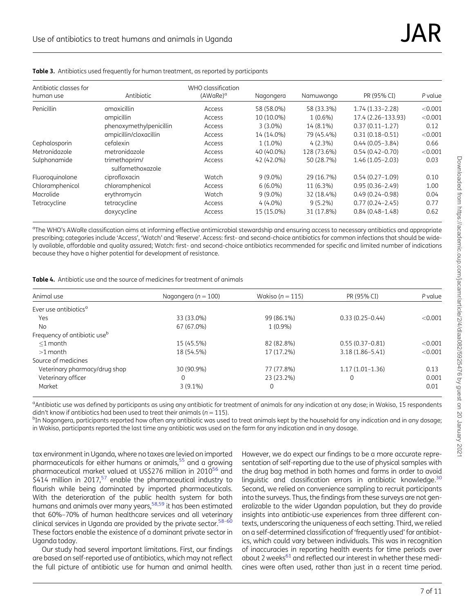| Antibiotic classes for<br>human use | Antibiotic                        | WHO classification<br>(AWaRe) <sup>a</sup> | Nagongera  | Namuwongo   | PR (95% CI)         | P value |
|-------------------------------------|-----------------------------------|--------------------------------------------|------------|-------------|---------------------|---------|
| Penicillin                          | amoxicillin                       | Access                                     | 58 (58.0%) | 58 (33.3%)  | $1.74(1.33 - 2.28)$ | < 0.001 |
|                                     | ampicillin                        | Access                                     | 10 (10.0%) | $1(0.6\%)$  | 17.4 (2.26-133.93)  | < 0.001 |
|                                     | phenoxymethylpenicillin           | Access                                     | $3(3.0\%)$ | 14 (8.1%)   | $0.37(0.11 - 1.27)$ | 0.12    |
|                                     | ampicillin/cloxacillin            | Access                                     | 14 (14.0%) | 79 (45.4%)  | $0.31(0.18 - 0.51)$ | < 0.001 |
| Cephalosporin                       | cefalexin                         | Access                                     | $1(1.0\%)$ | $4(2.3\%)$  | $0.44(0.05-3.84)$   | 0.66    |
| Metronidazole                       | metronidazole                     | Access                                     | 40 (40.0%) | 128 (73.6%) | $0.54(0.42 - 0.70)$ | < 0.001 |
| Sulphonamide                        | trimethoprim/<br>sulfamethoxazole | Access                                     | 42 (42.0%) | 50 (28.7%)  | $1.46(1.05-2.03)$   | 0.03    |
| Fluoroquinolone                     | ciprofloxacin                     | Watch                                      | $9(9.0\%)$ | 29 (16.7%)  | $0.54(0.27-1.09)$   | 0.10    |
| Chloramphenicol                     | chloramphenicol                   | Access                                     | $6(6.0\%)$ | 11 (6.3%)   | $0.95(0.36 - 2.49)$ | 1.00    |
| Macrolide                           | erythromycin                      | Watch                                      | $9(9.0\%)$ | 32 (18.4%)  | $0.49(0.24 - 0.98)$ | 0.04    |
| Tetracycline                        | tetracycline                      | Access                                     | $4(4.0\%)$ | $9(5.2\%)$  | $0.77(0.24 - 2.45)$ | 0.77    |
|                                     | doxycycline                       | Access                                     | 15 (15.0%) | 31 (17.8%)  | $0.84(0.48-1.48)$   | 0.62    |

<span id="page-6-0"></span>Table 3. Antibiotics used frequently for human treatment, as reported by participants

a The WHO's AWaRe classification aims at informing effective antimicrobial stewardship and ensuring access to necessary antibiotics and appropriate prescribing; categories include 'Access', 'Watch' and 'Reserve'. Access: first- and second-choice antibiotics for common infections that should be widely available, affordable and quality assured; Watch: first- and second-choice antibiotics recommended for specific and limited number of indications because they have a higher potential for development of resistance.

Table 4. Antibiotic use and the source of medicines for treatment of animals

| Animal use                               | Nagongera ( $n = 100$ ) | Wakiso ( $n = 115$ ) | PR (95% CI)         | P value |  |
|------------------------------------------|-------------------------|----------------------|---------------------|---------|--|
| Ever use antibiotics <sup>a</sup>        |                         |                      |                     |         |  |
| Yes                                      | 33 (33.0%)              | 99 (86.1%)           | $0.33(0.25-0.44)$   | < 0.001 |  |
| <b>No</b>                                | 67 (67.0%)              | $1(0.9\%)$           |                     |         |  |
| Frequency of antibiotic use <sup>b</sup> |                         |                      |                     |         |  |
| $<$ 1 month                              | 15 (45.5%)              | 82 (82.8%)           | $0.55(0.37-0.81)$   | < 0.001 |  |
| $>1$ month                               | 18 (54.5%)              | 17 (17.2%)           | $3.18(1.86 - 5.41)$ | < 0.001 |  |
| Source of medicines                      |                         |                      |                     |         |  |
| Veterinary pharmacy/drug shop            | 30 (90.9%)              | 77 (77.8%)           | $1.17(1.01-1.36)$   | 0.13    |  |
| Veterinary officer                       |                         | 23 (23.2%)           | 0                   | 0.001   |  |
| Market                                   | $3(9.1\%)$              | 0                    |                     | 0.01    |  |

<sup>a</sup>Antibiotic use was defined by participants as using any antibiotic for treatment of animals for any indication at any dose; in Wakiso, 15 respondents didn't know if antibiotics had been used to treat their animals ( $n = 115$ ).

<sup>b</sup>In Nagongera, participants reported how often any antibiotic was used to treat animals kept by the household for any indication and in any dosage; in Wakiso, participants reported the last time any antibiotic was used on the farm for any indication and in any dosage.

tax environment in Uganda, where no taxes are levied on imported pharmaceuticals for either humans or animals,[55](#page-9-0) and a growing pharmaceutical market valued at US\$276 million in 2010<sup>[56](#page-9-0)</sup> and  $\frac{1}{2}414$  million in 2017,<sup>57</sup> enable the pharmaceutical industry to flourish while being dominated by imported pharmaceuticals. With the deterioration of the public health system for both humans and animals over many years,  $58,59$  it has been estimated that 60%–70% of human healthcare services and all veterinary clinical services in Uganda are provided by the private sector. $58-60$ These factors enable the existence of a dominant private sector in Uganda today.

Our study had several important limitations. First, our findings are based on self-reported use of antibiotics, which may not reflect the full picture of antibiotic use for human and animal health. However, we do expect our findings to be a more accurate representation of self-reporting due to the use of physical samples with the drug bag method in both homes and farms in order to avoid linguistic and classification errors in antibiotic knowledge. $30$ Second, we relied on convenience sampling to recruit participants into the surveys. Thus, the findings from these surveys are not generalizable to the wider Ugandan population, but they do provide insights into antibiotic-use experiences from three different contexts, underscoring the uniqueness of each setting. Third, we relied on a self-determined classification of 'frequently used' for antibiotics, which could vary between individuals. This was in recognition of inaccuracies in reporting health events for time periods over about 2 weeks<sup>61</sup> and reflected our interest in whether these medicines were often used, rather than just in a recent time period.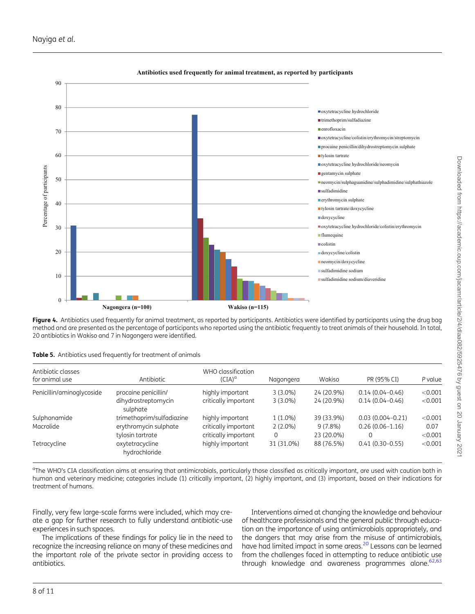<span id="page-7-0"></span>

#### **Antibiotics used frequently for animal treatment, as reported by participants**

Figure 4. Antibiotics used frequently for animal treatment, as reported by participants. Antibiotics were identified by participants using the drug bag method and are presented as the percentage of participants who reported using the antibiotic frequently to treat animals of their household. In total, 20 antibiotics in Wakiso and 7 in Nagongera were identified.

| Antibiotic classes<br>for animal use | Antibiotic                       | WHO classification<br>$(CIA)^d$ | Nagongera  | Wakiso     | PR (95% CI)          | P value |
|--------------------------------------|----------------------------------|---------------------------------|------------|------------|----------------------|---------|
| Penicillin/aminoglycoside            | procaine penicillin/             | highly important                | $3(3.0\%)$ | 24 (20.9%) | $0.14(0.04 - 0.46)$  | < 0.001 |
|                                      | dihydrostreptomycin<br>sulphate  | critically important            | $3(3.0\%)$ | 24 (20.9%) | $0.14(0.04 - 0.46)$  | < 0.001 |
| Sulphonamide                         | trimethoprim/sulfadiazine        | highly important                | $1(1.0\%)$ | 39 (33.9%) | $0.03(0.004 - 0.21)$ | < 0.001 |
| Macrolide                            | erythromycin sulphate            | critically important            | $2(2.0\%)$ | $9(7.8\%)$ | $0.26(0.06-1.16)$    | 0.07    |
|                                      | tylosin tartrate                 | critically important            | $\Omega$   | 23 (20.0%) |                      | < 0.001 |
| Tetracycline                         | oxytetracycline<br>hydrochloride | highly important                | 31 (31.0%) | 88 (76.5%) | $0.41(0.30-0.55)$    | < 0.001 |

<sup>a</sup>The WHO's CIA classification aims at ensuring that antimicrobials, particularly those classified as critically important, are used with caution both in human and veterinary medicine; categories include (1) critically important, (2) highly important, and (3) important, based on their indications for treatment of humans.

Finally, very few large-scale farms were included, which may create a gap for further research to fully understand antibiotic-use experiences in such spaces.

The implications of these findings for policy lie in the need to recognize the increasing reliance on many of these medicines and the important role of the private sector in providing access to antibiotics.

Interventions aimed at changing the knowledge and behaviour of healthcare professionals and the general public through education on the importance of using antimicrobials appropriately, and the dangers that may arise from the misuse of antimicrobials, have had limited impact in some areas.<sup>20</sup> Lessons can be learned from the challenges faced in attempting to reduce antibiotic use through knowledge and awareness programmes alone. $62,63$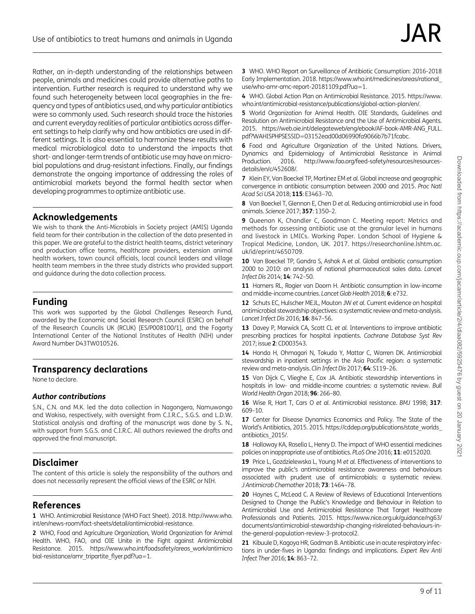<span id="page-8-0"></span>Rather, an in-depth understanding of the relationships between people, animals and medicines could provide alternative paths to intervention. Further research is required to understand why we found such heterogeneity between local geographies in the frequency and types of antibiotics used, and why particular antibiotics were so commonly used. Such research should trace the histories and current everyday realities of particular antibiotics across different settings to help clarify why and how antibiotics are used in different settings. It is also essential to harmonize these results with medical microbiological data to understand the impacts that short- and longer-term trends of antibiotic use may have on microbial populations and drug-resistant infections. Finally, our findings demonstrate the ongoing importance of addressing the roles of antimicrobial markets beyond the formal health sector when developing programmes to optimize antibiotic use.

## Acknowledgements

We wish to thank the Anti-Microbials in Society project (AMIS) Uganda field team for their contribution in the collection of the data presented in this paper. We are grateful to the district health teams, district veterinary and production office teams, healthcare providers, extension animal health workers, town council officials, local council leaders and village health team members in the three study districts who provided support and guidance during the data collection process.

## Funding

This work was supported by the Global Challenges Research Fund, awarded by the Economic and Social Research Council (ESRC) on behalf of the Research Councils UK (RCUK) [ES/P008100/1], and the Fogarty International Center of the National Institutes of Health (NIH) under Award Number D43TW010526.

## Transparency declarations

None to declare.

#### Author contributions

S.N., C.N. and M.K. led the data collection in Nagongera, Namuwongo and Wakiso, respectively, with oversight from C.I.R.C., S.G.S. and L.D.W. Statistical analysis and drafting of the manuscript was done by S. N., with support from S.G.S. and C.I.R.C. All authors reviewed the drafts and approved the final manuscript.

## Disclaimer

The content of this article is solely the responsibility of the authors and does not necessarily represent the official views of the ESRC or NIH.

## References

1 WHO. Antimicrobial Resistance (WHO Fact Sheet). 2018. [http://www.who.](http://www.who.int/en/news-room/fact-sheets/detail/antimicrobial-resistance) [int/en/news-room/fact-sheets/detail/antimicrobial-resistance.](http://www.who.int/en/news-room/fact-sheets/detail/antimicrobial-resistance)

2 WHO, Food and Agriculture Organization, World Organization for Animal Health. WHO, FAO, and OIE Unite in the Fight against Antimicrobial Resistance. 2015. [https://www.who.int/foodsafety/areas\\_work/antimicro](https://www.who.int/foodsafety/areas_work/antimicrobial-resistance/amr_tripartite_flyer.pdf?ua=1) [bial-resistance/amr\\_tripartite\\_flyer.pdf?ua](https://www.who.int/foodsafety/areas_work/antimicrobial-resistance/amr_tripartite_flyer.pdf?ua=1)=[1](https://www.who.int/foodsafety/areas_work/antimicrobial-resistance/amr_tripartite_flyer.pdf?ua=1).

3 WHO. WHO Report on Surveillance of Antibiotic Consumption: 2016-2018 Early Implementation. 2018. [https://www.who.int/medicines/areas/rational\\_](https://www.who.int/medicines/areas/rational_use/who-amr-amc-report-20181109.pdf?ua=1) [use/who-amr-amc-report-20181109.pdf?ua](https://www.who.int/medicines/areas/rational_use/who-amr-amc-report-20181109.pdf?ua=1)=[1.](https://www.who.int/medicines/areas/rational_use/who-amr-amc-report-20181109.pdf?ua=1)

[4](#page-0-0) WHO. Global Action Plan on Antimicrobial Resistance. 2015. [https://www.](https://www.who.int/antimicrobial-resistance/publications/global-action-plan/en/) [who.int/antimicrobial-resistance/publications/global-action-plan/en/.](https://www.who.int/antimicrobial-resistance/publications/global-action-plan/en/)

5 World Organization for Animal Health. OIE Standards, Guidelines and Resolution on Antimicrobial Resistance and the Use of Antimicrobial Agents. 2015. [https://web.oie.int/delegateweb/eng/ebook/AF-book-AMR-ANG\\_FULL.](https://web.oie.int/delegateweb/eng/ebook/AF-book-AMR-ANG_FULL.pdf?WAHISPHPSESSID=03152ead00d06990fa9066b7b71fcabc) [pdf?WAHISPHPSESSID](https://web.oie.int/delegateweb/eng/ebook/AF-book-AMR-ANG_FULL.pdf?WAHISPHPSESSID=03152ead00d06990fa9066b7b71fcabc)=[03152ead00d06990fa9066b7b71fcabc.](https://web.oie.int/delegateweb/eng/ebook/AF-book-AMR-ANG_FULL.pdf?WAHISPHPSESSID=03152ead00d06990fa9066b7b71fcabc)

6 Food and Agriculture Organization of the United Nations. Drivers, Dynamics and Epidemiology of Antimicrobial Resistance in Animal Production. 2016. [http://www.fao.org/feed-safety/resources/resources](http://www.fao.org/feed-safety/resources/resources-details/en/c/452608/)[details/en/c/452608/.](http://www.fao.org/feed-safety/resources/resources-details/en/c/452608/)

[7](#page-0-0) Klein EY, Van Boeckel TP, Martinez EM et al. Global increase and geographic convergence in antibiotic consumption between 2000 and 2015. Proc Natl Acad Sci USA 2018; 115: E3463–70.

[8](#page-0-0) Van Boeckel T, Glennon E, Chen D et al. Reducing antimicrobial use in food animals. Science 2017; 357: 1350–2.

[9](#page-0-0) Queenan K, Chandler C, Goodman C. Meeting report: Metrics and methods for assessing antibiotic use at the granular level in humans and livestock in LMICs. Working Paper. London School of Hygiene & Tropical Medicine, London, UK. 2017. [https://researchonline.lshtm.ac.](https://researchonline.lshtm.ac.uk/id/eprint/4650709) [uk/id/eprint/4650709.](https://researchonline.lshtm.ac.uk/id/eprint/4650709)

[10](#page-0-0) Van Boeckel TP, Gandra S, Ashok A et al. Global antibiotic consumption 2000 to 2010: an analysis of national pharmaceutical sales data. Lancet Infect Dis 2014; 14: 742–50.

[11](#page-0-0) Hamers RL, Rogier van Doorn H. Antibiotic consumption in low-income and middle-income countries. Lancet Glob Health 2018; 6: e732.

12 Schuts EC, Hulscher MEJL, Mouton JW et al. Current evidence on hospital antimicrobial stewardship objectives: a systematic review and meta-analysis. Lancet Infect Dis 2016; 16: 847–56.

13 Davey P, Marwick CA, Scott CL et al. Interventions to improve antibiotic prescribing practices for hospital inpatients. Cochrane Database Syst Rev 2017; issue 2: CD003543.

14 Honda H, Ohmagari N, Tokuda Y, Mattar C, Warren DK. Antimicrobial stewardship in inpatient settings in the Asia Pacific region: a systematic review and meta-analysis. Clin Infect Dis 2017; 64: S119–26.

15 Van Dijck C, Vlieghe E, Cox JA. Antibiotic stewardship interventions in hospitals in low- and middle-income countries: a systematic review. Bull World Health Organ 2018; 96: 266–80.

[16](#page-0-0) Wise R, Hart T, Cars O et al. Antimicrobial resistance. BMJ 1998; 317: 609–10.

[17](#page-0-0) Center for Disease Dynamics Economics and Policy. The State of the World's Antibiotics, 2015. 2015. [https://cddep.org/publications/state\\_worlds\\_](https://cddep.org/publications/state_worlds_antibiotics_2015/) [antibiotics\\_2015/.](https://cddep.org/publications/state_worlds_antibiotics_2015/)

18 Holloway KA, Rosella L, Henry D. The impact of WHO essential medicines policies on inappropriate use of antibiotics. PLoS One 2016; 11: e0152020.

19 Price L, Gozdzielewska L, Young M et al. Effectiveness of interventions to improve the public's antimicrobial resistance awareness and behaviours associated with prudent use of antimicrobials: a systematic review. J Antimicrob Chemother 2018; 73: 1464–78.

[20](#page-7-0) Haynes C, McLeod C. A Review of Reviews of Educational Interventions Designed to Change the Public's Knowledge and Behaviour in Relation to Antimicrobial Use and Antimicrobial Resistance That Target Healthcare Professionals and Patients. 2015. [https://www.nice.org.uk/guidance/ng63/](https://www.nice.org.uk/guidance/ng63/documents/antimicrobial-stewardship-changing-riskrelated-behaviours-in-the-general-population-review-3-protocol2) [documents/antimicrobial-stewardship-changing-riskrelated-behaviours-in](https://www.nice.org.uk/guidance/ng63/documents/antimicrobial-stewardship-changing-riskrelated-behaviours-in-the-general-population-review-3-protocol2)[the-general-population-review-3-protocol2](https://www.nice.org.uk/guidance/ng63/documents/antimicrobial-stewardship-changing-riskrelated-behaviours-in-the-general-population-review-3-protocol2).

[21](#page-1-0) Kibuule D, Kagoya HR, Godman B. Antibiotic use in acute respiratory infections in under-fives in Uganda: findings and implications. Expert Rev Anti Infect Ther 2016; 14: 863–72.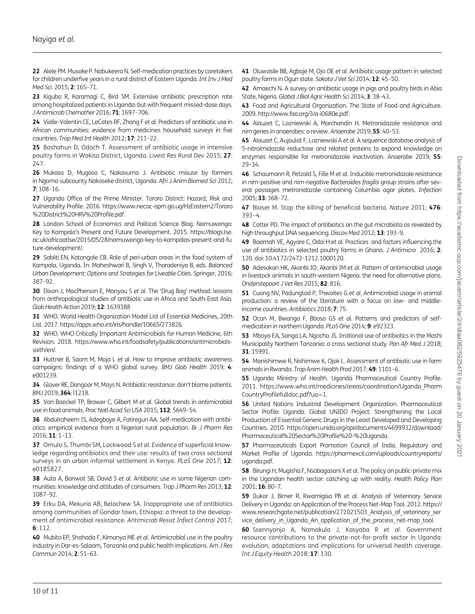<span id="page-9-0"></span>[22](#page-1-0) Alele PM. Musoke P. Nabukeera N. Self-medication practices by caretakers for children underfive years in a rural district of Eastern Uganda. Int Inv J Med Med Sci. 2015; 2: 165–71.

[23](#page-1-0) Kiguba R, Karamagi C, Bird SM. Extensive antibiotic prescription rate among hospitalized patients in Uganda: but with frequent missed-dose days. J Antimicrob Chemother 2016; 71: 1697–706.

[24](#page-1-0) Vialle-Valentin CE, LeCates RF, Zhang F et al. Predictors of antibiotic use in African communities: evidence from medicines household surveys in five countries. Trop Med Int Health 2012; 17: 211–22.

[25](#page-1-0) Bashahun D, Odoch T. Assessment of antibiotic usage in intensive poultry farms in Wakiso District, Uganda. Livest Res Rural Dev 2015; 27: 247.

[26](#page-1-0) Mukasa D, Mugasa C, Nakavuma J. Antibiotic misuse by farmers in Ngoma subcounty Nakaseke district, Uganda. Afri J Anim Biomed Sci 2012; 7: 108–16.

[27](#page-1-0) Uganda Office of the Prime Minister. Tororo District: Hazard, Risk and Vulnerability Profile. 2016. [https://www.necoc-opm.go.ug/HzEastern2/Tororo](https://www.necoc-opm.go.ug/HzEastern2/Tororo&hx0025;20District&hx0025;20HRV&hx0025;20Profile.pdf) [%20District%20HRV%20Profile.pdf.](https://www.necoc-opm.go.ug/HzEastern2/Tororo&hx0025;20District&hx0025;20HRV&hx0025;20Profile.pdf)

[28](#page-1-0) London School of Economics and Political Science Blog. Namuwongo: Key to Kampala's Present and Future Development. 2015. [https://blogs.lse.](https://blogs.lse.ac.uk/africaatlse/2015/05/28/namuwongo-key-to-kampalas-present-and-future-development/) [ac.uk/africaatlse/2015/05/28/namuwongo-key-to-kampalas-present-and-fu](https://blogs.lse.ac.uk/africaatlse/2015/05/28/namuwongo-key-to-kampalas-present-and-future-development/) [ture-development/](https://blogs.lse.ac.uk/africaatlse/2015/05/28/namuwongo-key-to-kampalas-present-and-future-development/).

[29](#page-2-0) Sabiiti EN, Katongole CB. Role of peri-urban areas in the food system of Kampala, Uganda. In: Maheshwari B, Singh V, Thoradeniya B, eds. Balanced Urban Development: Options and Strategies for Liveable Cities. Springer, 2016; 387–92.

[30](#page-2-0) Dixon J, MacPherson E, Manyau S et al. The 'Drug Bag' method: lessons from anthropological studies of antibiotic use in Africa and South-East Asia. Glob Health Action 2019; 12: 1639388

[31](#page-2-0) WHO. World Health Organization Model List of Essential Medicines, 20th List. 2017.<https://apps.who.int/iris/handle/10665/273826>.

[32](#page-2-0) WHO. WHO Critically Important Antimicrobials for Human Medicine, 6th Revision. 2018. [https://www.who.int/foodsafety/publications/antimicrobials](https://www.who.int/foodsafety/publications/antimicrobials-sixth/en/)[sixth/en/](https://www.who.int/foodsafety/publications/antimicrobials-sixth/en/).

[33](#page-3-0) Huttner B, Saam M, Moja L et al. How to improve antibiotic awareness campaigns: findings of a WHO global survey. BMJ Glob Health 2019; 4: e001239.

[34](#page-3-0) Glover RE, Dangoor M, Mays N. Antibiotic resistance: don't blame patients. BMJ 2019; 364: l1218.

[35](#page-3-0) Van Boeckel TP, Brower C, Gilbert M et al. Global trends in antimicrobial use in food animals. Proc Natl Acad Sci USA 2015; 112: 5649–54.

[36](#page-3-0) Abdulraheem IS, Adegboye A, Fatiregun AA. Self-medication with antibiotics: empirical evidence from a Nigerian rural population. Br J Pharm Res 2016; 11: 1–13.

[37](#page-3-0) Omulo S, Thumbi SM, Lockwood S et al. Evidence of superficial knowledge regarding antibiotics and their use: results of two cross sectional surveys in an urban informal settlement in Kenya. PLoS One 2017; 12: e0185827.

[38](#page-4-0) Auta A, Banwat SB, David S et al. Antibiotic use in some Nigerian communities: knowledge and attitudes of consumers. Trop J Pharm Res 2013; 12: 1087–92.

[39](#page-4-0) Erku DA, Mekuria AB, Belachew SA. Inappropriate use of antibiotics among communities of Gondar town, Ethiopia: a threat to the development of antimicrobial resistance. Antimicrob Resist Infect Control 2017;  $6:112$ 

[40](#page-4-0) Mubito EP, Shahada F, Kimanya ME et al. Antimicrobial use in the poultry industry in Dar-es-Salaam, Tanzania and public health implications. Am J Res Commun 2014; 2: 51–63.

[41](#page-4-0) Oluwasile BB, Agbaje M, Ojo OE et al. Antibiotic usage pattern in selected poultry farms in Ogun state. Sokoto J Vet Sci 2014; 12: 45–50.

[42](#page-4-0) Amaechi N. A survey on antibiotic usage in pigs and poultry birds in Abia State, Nigeria. Global J Biol Agric Health Sci 2014; 3: 38–43.

[43](#page-4-0) Food and Agricultural Organization. The State of Food and Agriculture. 2009. [http://www.fao.org/3/a-i0680e.pdf.](http://www.fao.org/3/a-i0680e.pdf)

44 Alauzet C, Lozniewski A, Marchandin H. Metronidazole resistance and nim genes in anaerobes: a review. Anaerobe 2019; 55: 40–53.

45 Alauzet C, Aujoulat F, Lozniewski A et al. A sequence database analysis of 5-nitroimidazole reductase and related proteins to expand knowledge on enzymes responsible for metronidazole inactivation. Anaerobe 2019; 55: 29–34.

46 Schaumann R, Petzold S, Fille M et al. Inducible metronidazole resistance in nim-positive and nim-negative Bacteroides fragilis group strains after several passages metronidazole containing Columbia agar plates. Infection 2005; 33: 368–72.

[47](#page-4-0) Blaser M. Stop the killing of beneficial bacteria. Nature 2011; 476: 393–4.

[48](#page-4-0) Cotter PD. The impact of antibiotics on the gut microbiota as revealed by high throughput DNA sequencing. Discov Med 2012; 13: 193-9.

[49](#page-5-0) Boamah VE, Agyare C, Odoi H et al. Practices and factors influencing the use of antibiotics in selected poultry farms in Ghana. J Antimicro 2016; 2: 120. doi: 10.4172/2472-1212.1000120.

[50](#page-5-0) Adesokan HK, Akanbi IO, Akanbi IM et al. Pattern of antimicrobial usage in livestock animals in south-western Nigeria: the need for alternative plans. Onderstepoort J Vet Res 2015; 82: 816.

[51](#page-5-0) Cuong NV, Padungtod P, Thwaites G et al. Antimicrobial usage in animal production: a review of the literature with a focus on low- and middleincome countries. Antibiotics 2018; 7: 75.

[52](#page-5-0) Ocan M, Bwanga F, Bbosa GS et al. Patterns and predictors of selfmedication in northern Uganda. PLoS One 2014; 9: e92323.

[53](#page-5-0) Mboya EA, Sanga LA, Ngocho JS. Irrational use of antibiotics in the Moshi Municipality Northern Tanzania: a cross sectional study. Pan Afr Med J 2018; 31: 15991.

[54](#page-5-0) Manishimwe R, Nishimwe K, Ojok L. Assessment of antibiotic use in farm animals in Rwanda. Trop Anim Health Prod 2017; 49: 1101–6.

[55](#page-6-0) Uganda Ministry of Health. Uganda Pharmaceutical Country Profile. 2011. [https://www.who.int/medicines/areas/coordination/Uganda\\_Pharm](https://www.who.int/medicines/areas/coordination/Uganda_PharmCountryProfilefulldoc.pdf?ua=1) [CountryProfilefulldoc.pdf?ua](https://www.who.int/medicines/areas/coordination/Uganda_PharmCountryProfilefulldoc.pdf?ua=1)=[1.](https://www.who.int/medicines/areas/coordination/Uganda_PharmCountryProfilefulldoc.pdf?ua=1)

[56](#page-6-0) United Nations Industrial Development Organization. Pharmaceutical Sector Profile: Uganda. Global UNIDO Project: Strengthening the Local Production of Essential Generic Drugs in the Least Developed and Developing Countries. 2010. [https://open.unido.org/api/documents/4699932/download/](https://open.unido.org/api/documents/4699932/download/Pharmaceutical&hx0025;20Sector&hx0025;20Profile&hx0025;20-&hx0025;20Uganda) [Pharmaceutical%20Sector%20Profile%20-%20Uganda](https://open.unido.org/api/documents/4699932/download/Pharmaceutical&hx0025;20Sector&hx0025;20Profile&hx0025;20-&hx0025;20Uganda).

[57](#page-6-0) Pharmaceuticals Export Promotion Council of India. Regulatory and Market Profile of Uganda. [https://pharmexcil.com/uploads/countryreports/](https://pharmexcil.com/uploads/countryreports/uganda.pdf) [uganda.pdf.](https://pharmexcil.com/uploads/countryreports/uganda.pdf)

[58](#page-6-0) Birungi H, Mugisha F, Nsabagasani X et al. The policy on public-private mix in the Ugandan health sector: catching up with reality. Health Policy Plan 2001; 16: 80–7.

[59](#page-6-0) Ilukor J, Birner R, Rwamigisa PB et al. Analysis of Veterinary Service Delivery in Uganda: an Application of the Process Net-Map Tool. 2012. [https://](https://www.researchgate.net/publication/272021503_Analysis_of_veterinary_service_delivery_in_Uganda_An_application_of_the_process_net-map_tool) [www.researchgate.net/publication/272021503\\_Analysis\\_of\\_veterinary\\_ser](https://www.researchgate.net/publication/272021503_Analysis_of_veterinary_service_delivery_in_Uganda_An_application_of_the_process_net-map_tool) [vice\\_delivery\\_in\\_Uganda\\_An\\_application\\_of\\_the\\_process\\_net-map\\_tool.](https://www.researchgate.net/publication/272021503_Analysis_of_veterinary_service_delivery_in_Uganda_An_application_of_the_process_net-map_tool)

60 Ssennyonjo A, Namakula J, Kasyaba R et al. Government resource contributions to the private-not-for-profit sector in Uganda: evolution, adaptations and implications for universal health coverage. Int J Equity Health 2018; 17: 130.